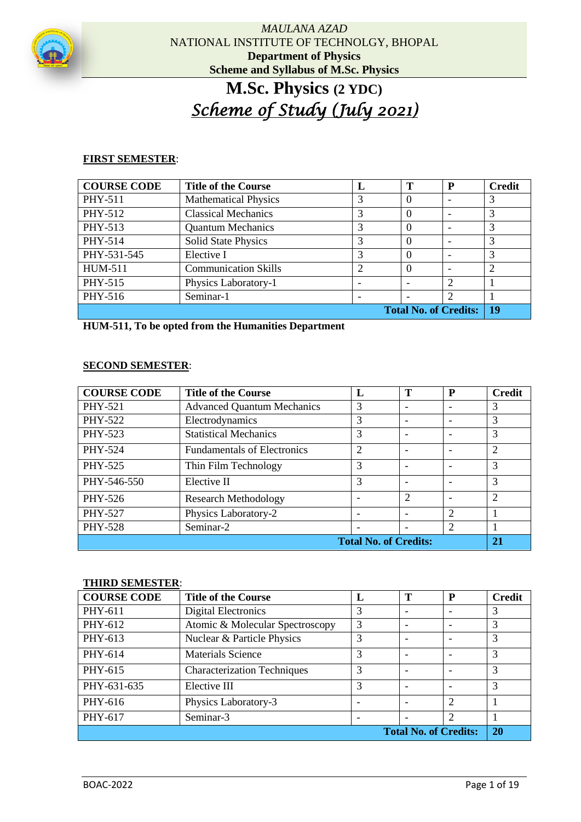

# **M.Sc. Physics (2 YDC)** *Scheme of Study (July 2021)*

# **FIRST SEMESTER**:

| <b>COURSE CODE</b> | <b>Title of the Course</b>  | L              | Т                        | P                            | <b>Credit</b>  |
|--------------------|-----------------------------|----------------|--------------------------|------------------------------|----------------|
| PHY-511            | <b>Mathematical Physics</b> | 3              | $\theta$                 |                              | 3              |
| PHY-512            | <b>Classical Mechanics</b>  | 3              | $\Omega$                 |                              | 3              |
| PHY-513            | <b>Quantum Mechanics</b>    | 3              | $\theta$                 |                              | 3              |
| PHY-514            | <b>Solid State Physics</b>  | 3              | $\Omega$                 |                              | 3              |
| PHY-531-545        | Elective I                  | 3              | $\Omega$                 |                              | 3              |
| <b>HUM-511</b>     | <b>Communication Skills</b> | $\overline{2}$ | $\Omega$                 |                              | $\overline{2}$ |
| PHY-515            | Physics Laboratory-1        |                |                          | $\overline{2}$               |                |
| PHY-516            | Seminar-1                   |                | $\overline{\phantom{a}}$ |                              |                |
|                    |                             |                |                          | <b>Total No. of Credits:</b> | 19             |

**HUM-511, To be opted from the Humanities Department**

#### **SECOND SEMESTER**:

| <b>COURSE CODE</b> | <b>Title of the Course</b>         | L                            | Т                        | P              | <b>Credit</b>  |
|--------------------|------------------------------------|------------------------------|--------------------------|----------------|----------------|
| PHY-521            | <b>Advanced Quantum Mechanics</b>  | 3                            | $\overline{\phantom{0}}$ |                | 3              |
| PHY-522            | Electrodynamics                    | 3                            |                          |                | 3              |
| PHY-523            | <b>Statistical Mechanics</b>       | 3                            |                          |                | 3              |
| PHY-524            | <b>Fundamentals of Electronics</b> | $\overline{2}$               |                          |                | $\overline{2}$ |
| PHY-525            | Thin Film Technology               | 3                            |                          |                | 3              |
| PHY-546-550        | Elective II                        | 3                            |                          |                | 3              |
| PHY-526            | <b>Research Methodology</b>        |                              | 2                        |                | $\mathfrak{D}$ |
| PHY-527            | Physics Laboratory-2               |                              | -                        | $\overline{2}$ |                |
| <b>PHY-528</b>     | Seminar-2                          |                              | -                        | 2              |                |
|                    |                                    | <b>Total No. of Credits:</b> |                          |                | 21             |

# **THIRD SEMESTER**:

| <b>COURSE CODE</b>           | <b>Title of the Course</b>         | L | Т                        | P              | <b>Credit</b> |
|------------------------------|------------------------------------|---|--------------------------|----------------|---------------|
| PHY-611                      | Digital Electronics                | 3 |                          |                |               |
| PHY-612                      | Atomic & Molecular Spectroscopy    | 3 | $\overline{\phantom{a}}$ |                | 3             |
| PHY-613                      | Nuclear & Particle Physics         | 3 |                          |                | 3             |
| PHY-614                      | <b>Materials Science</b>           | 3 |                          |                | 3             |
| PHY-615                      | <b>Characterization Techniques</b> | 3 |                          |                | 3             |
| PHY-631-635                  | Elective III                       | 3 |                          |                | 3             |
| PHY-616                      | Physics Laboratory-3               |   |                          | $\overline{c}$ |               |
| PHY-617                      | Seminar-3                          |   |                          | ↑              |               |
| <b>Total No. of Credits:</b> |                                    |   |                          | 20             |               |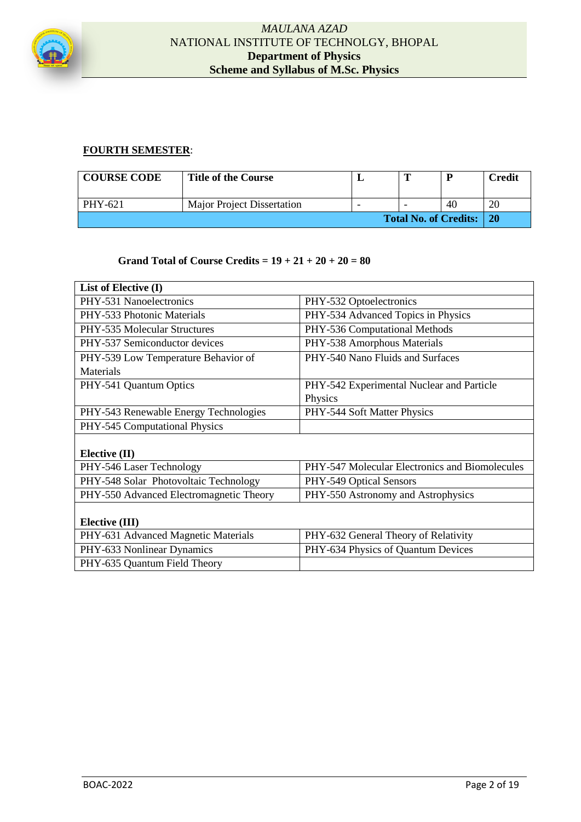

# **FOURTH SEMESTER**:

| <b>COURSE CODE</b>           | <b>Title of the Course</b>        |   | m | D          | <b>Credit</b>  |
|------------------------------|-----------------------------------|---|---|------------|----------------|
| PHY-621                      | <b>Major Project Dissertation</b> | - |   | 40         | 2 <sup>0</sup> |
| <b>Total No. of Credits:</b> |                                   |   |   | $\perp$ 20 |                |

#### **Grand Total of Course Credits = 19 + 21 + 20 + 20 = 80**

| List of Elective (I)                    |                                                |  |  |  |
|-----------------------------------------|------------------------------------------------|--|--|--|
| PHY-531 Nanoelectronics                 | PHY-532 Optoelectronics                        |  |  |  |
| PHY-533 Photonic Materials              | PHY-534 Advanced Topics in Physics             |  |  |  |
| PHY-535 Molecular Structures            | PHY-536 Computational Methods                  |  |  |  |
| PHY-537 Semiconductor devices           | PHY-538 Amorphous Materials                    |  |  |  |
| PHY-539 Low Temperature Behavior of     | PHY-540 Nano Fluids and Surfaces               |  |  |  |
| Materials                               |                                                |  |  |  |
| PHY-541 Quantum Optics                  | PHY-542 Experimental Nuclear and Particle      |  |  |  |
|                                         | Physics                                        |  |  |  |
| PHY-543 Renewable Energy Technologies   | PHY-544 Soft Matter Physics                    |  |  |  |
| PHY-545 Computational Physics           |                                                |  |  |  |
|                                         |                                                |  |  |  |
| Elective $(II)$                         |                                                |  |  |  |
| PHY-546 Laser Technology                | PHY-547 Molecular Electronics and Biomolecules |  |  |  |
| PHY-548 Solar Photovoltaic Technology   | PHY-549 Optical Sensors                        |  |  |  |
| PHY-550 Advanced Electromagnetic Theory | PHY-550 Astronomy and Astrophysics             |  |  |  |
|                                         |                                                |  |  |  |
| Elective (III)                          |                                                |  |  |  |
| PHY-631 Advanced Magnetic Materials     | PHY-632 General Theory of Relativity           |  |  |  |
| PHY-633 Nonlinear Dynamics              | PHY-634 Physics of Quantum Devices             |  |  |  |
| PHY-635 Quantum Field Theory            |                                                |  |  |  |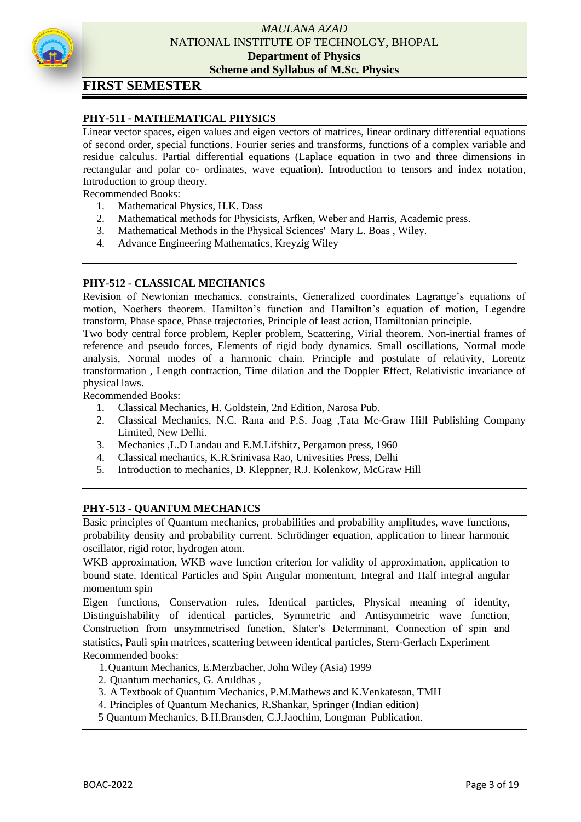

# **FIRST SEMESTER**

# **PHY-511 - MATHEMATICAL PHYSICS**

Linear vector spaces, eigen values and eigen vectors of matrices, linear ordinary differential equations of second order, special functions. Fourier series and transforms, functions of a complex variable and residue calculus. Partial differential equations (Laplace equation in two and three dimensions in rectangular and polar co- ordinates, wave equation). Introduction to tensors and index notation, Introduction to group theory.

Recommended Books:

- 1. Mathematical Physics, H.K. Dass
- 2. Mathematical methods for Physicists, Arfken, Weber and Harris, Academic press.
- 3. Mathematical Methods in the Physical Sciences' Mary L. Boas , Wiley.
- 4. Advance Engineering Mathematics, Kreyzig Wiley

#### **PHY-512 - CLASSICAL MECHANICS**

Revision of Newtonian mechanics, constraints, Generalized coordinates Lagrange's equations of motion, Noethers theorem. Hamilton's function and Hamilton's equation of motion, Legendre transform, Phase space, Phase trajectories, Principle of least action, Hamiltonian principle.

Two body central force problem, Kepler problem, Scattering, Virial theorem. Non-inertial frames of reference and pseudo forces, Elements of rigid body dynamics. Small oscillations, Normal mode analysis, Normal modes of a harmonic chain. Principle and postulate of relativity, Lorentz transformation , Length contraction, Time dilation and the Doppler Effect, Relativistic invariance of physical laws.

Recommended Books:

- 1. Classical Mechanics, H. Goldstein, 2nd Edition, Narosa Pub.
- 2. Classical Mechanics, N.C. Rana and P.S. Joag ,Tata Mc-Graw Hill Publishing Company Limited, New Delhi.
- 3. Mechanics ,L.D Landau and E.M.Lifshitz, Pergamon press, 1960
- 4. Classical mechanics, K.R.Srinivasa Rao, Univesities Press, Delhi
- 5. Introduction to mechanics, D. Kleppner, R.J. Kolenkow, McGraw Hill

#### **PHY-513 - QUANTUM MECHANICS**

Basic principles of Quantum mechanics, probabilities and probability amplitudes, wave functions, probability density and probability current. Schrödinger equation, application to linear harmonic oscillator, rigid rotor, hydrogen atom.

WKB approximation, WKB wave function criterion for validity of approximation, application to bound state. Identical Particles and Spin Angular momentum, Integral and Half integral angular momentum spin

Eigen functions, Conservation rules, Identical particles, Physical meaning of identity, Distinguishability of identical particles, Symmetric and Antisymmetric wave function, Construction from unsymmetrised function, Slater's Determinant, Connection of spin and statistics, Pauli spin matrices, scattering between identical particles, Stern-Gerlach Experiment Recommended books:

- 1.Quantum Mechanics, E.Merzbacher, John Wiley (Asia) 1999
- 2. Quantum mechanics, G. Aruldhas ,
- 3. A Textbook of Quantum Mechanics, P.M.Mathews and K.Venkatesan, TMH
- 4. Principles of Quantum Mechanics, R.Shankar, Springer (Indian edition)
- 5 Quantum Mechanics, B.H.Bransden, C.J.Jaochim, Longman Publication.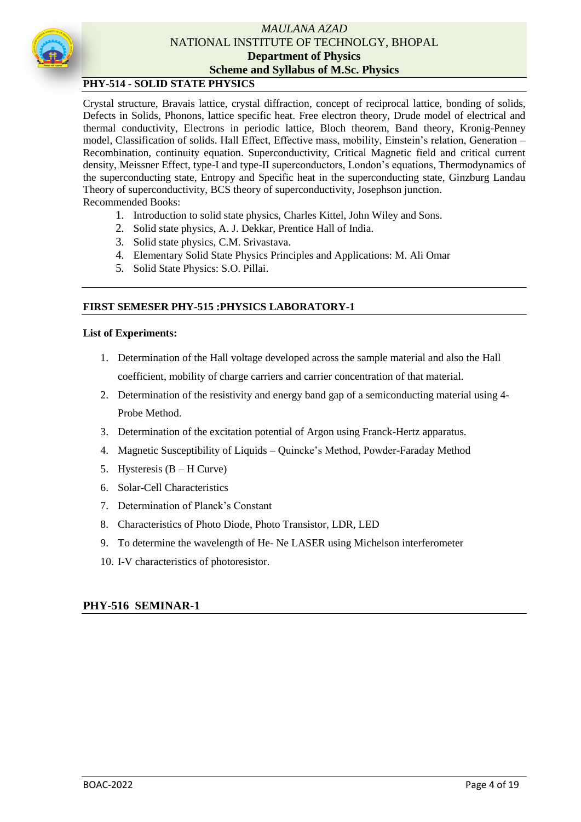

# **PHY-514 - SOLID STATE PHYSICS**

Crystal structure, Bravais lattice, crystal diffraction, concept of reciprocal lattice, bonding of solids, Defects in Solids, Phonons, lattice specific heat. Free electron theory, Drude model of electrical and thermal conductivity, Electrons in periodic lattice, Bloch theorem, Band theory, Kronig-Penney model, Classification of solids. Hall Effect, Effective mass, mobility, Einstein's relation, Generation – Recombination, continuity equation. Superconductivity, Critical Magnetic field and critical current density, Meissner Effect, type-I and type-II superconductors, London's equations, Thermodynamics of the superconducting state, Entropy and Specific heat in the superconducting state, Ginzburg Landau Theory of superconductivity, BCS theory of superconductivity, Josephson junction. Recommended Books:

- 1. Introduction to solid state physics, Charles Kittel, John Wiley and Sons.
- 2. Solid state physics, A. J. Dekkar, Prentice Hall of India.
- 3. Solid state physics, C.M. Srivastava.
- 4. Elementary Solid State Physics Principles and Applications: M. Ali Omar
- 5. Solid State Physics: S.O. Pillai.

#### **FIRST SEMESER PHY-515 :PHYSICS LABORATORY-1**

#### **List of Experiments:**

- 1. Determination of the Hall voltage developed across the sample material and also the Hall coefficient, mobility of charge carriers and carrier concentration of that material.
- 2. Determination of the resistivity and energy band gap of a semiconducting material using 4- Probe Method.
- 3. Determination of the excitation potential of Argon using Franck-Hertz apparatus.
- 4. Magnetic Susceptibility of Liquids Quincke's Method, Powder-Faraday Method
- 5. Hysteresis (B H Curve)
- 6. Solar-Cell Characteristics
- 7. Determination of Planck's Constant
- 8. Characteristics of Photo Diode, Photo Transistor, LDR, LED
- 9. To determine the wavelength of He- Ne LASER using Michelson interferometer
- 10. I-V characteristics of photoresistor.

#### **PHY-516 SEMINAR-1**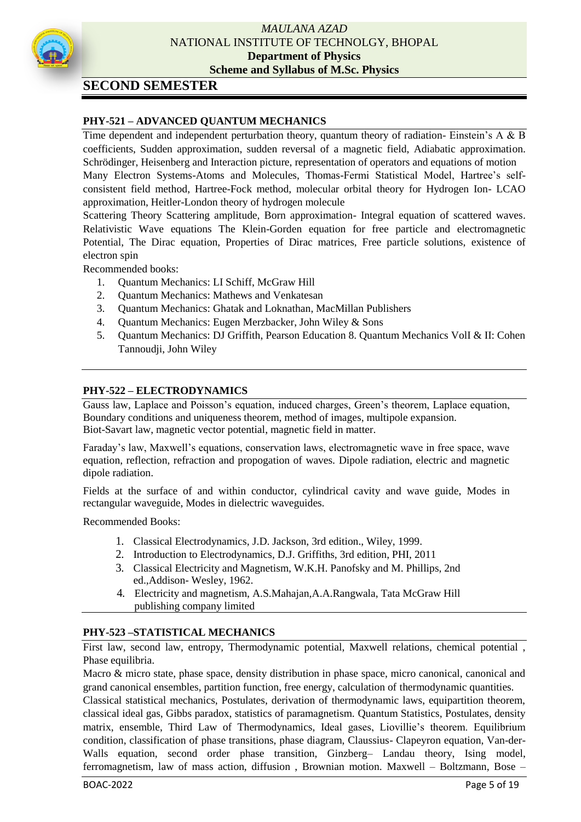

# **SECOND SEMESTER**

# **PHY-521 – ADVANCED QUANTUM MECHANICS**

Time dependent and independent perturbation theory, quantum theory of radiation-Einstein's A & B coefficients, Sudden approximation, sudden reversal of a magnetic field, Adiabatic approximation. Schrödinger, Heisenberg and Interaction picture, representation of operators and equations of motion Many Electron Systems-Atoms and Molecules, Thomas-Fermi Statistical Model, Hartree's selfconsistent field method, Hartree-Fock method, molecular orbital theory for Hydrogen Ion- LCAO approximation, Heitler-London theory of hydrogen molecule

Scattering Theory Scattering amplitude, Born approximation- Integral equation of scattered waves. Relativistic Wave equations The Klein-Gorden equation for free particle and electromagnetic Potential, The Dirac equation, Properties of Dirac matrices, Free particle solutions, existence of electron spin

Recommended books:

- 1. Quantum Mechanics: LI Schiff, McGraw Hill
- 2. Quantum Mechanics: Mathews and Venkatesan
- 3. Quantum Mechanics: Ghatak and Loknathan, MacMillan Publishers
- 4. Quantum Mechanics: Eugen Merzbacker, John Wiley & Sons
- 5. Quantum Mechanics: DJ Griffith, Pearson Education 8. Quantum Mechanics VolI & II: Cohen Tannoudji, John Wiley

# **PHY-522 – ELECTRODYNAMICS**

Gauss law, Laplace and Poisson's equation, induced charges, Green's theorem, Laplace equation, Boundary conditions and uniqueness theorem, method of images, multipole expansion. Biot-Savart law, magnetic vector potential, magnetic field in matter.

Faraday's law, Maxwell's equations, conservation laws, electromagnetic wave in free space, wave equation, reflection, refraction and propogation of waves. Dipole radiation, electric and magnetic dipole radiation.

Fields at the surface of and within conductor, cylindrical cavity and wave guide, Modes in rectangular waveguide, Modes in dielectric waveguides.

Recommended Books:

- 1. Classical Electrodynamics, J.D. Jackson, 3rd edition., Wiley, 1999.
- 2. Introduction to Electrodynamics, D.J. Griffiths, 3rd edition, PHI, 2011
- 3. Classical Electricity and Magnetism, W.K.H. Panofsky and M. Phillips, 2nd ed.,Addison- Wesley, 1962.
- 4. Electricity and magnetism, A.S.Mahajan,A.A.Rangwala, Tata McGraw Hill publishing company limited

#### **PHY-523 –STATISTICAL MECHANICS**

First law, second law, entropy, Thermodynamic potential, Maxwell relations, chemical potential , Phase equilibria.

Macro & micro state, phase space, density distribution in phase space, micro canonical, canonical and grand canonical ensembles, partition function, free energy, calculation of thermodynamic quantities.

Classical statistical mechanics, Postulates, derivation of thermodynamic laws, equipartition theorem, classical ideal gas, Gibbs paradox, statistics of paramagnetism. Quantum Statistics, Postulates, density matrix, ensemble, Third Law of Thermodynamics, Ideal gases, Liovillie's theorem. Equilibrium condition, classification of phase transitions, phase diagram, Claussius- Clapeyron equation, Van-der-Walls equation, second order phase transition, Ginzberg– Landau theory, Ising model, ferromagnetism, law of mass action, diffusion , Brownian motion. Maxwell – Boltzmann, Bose –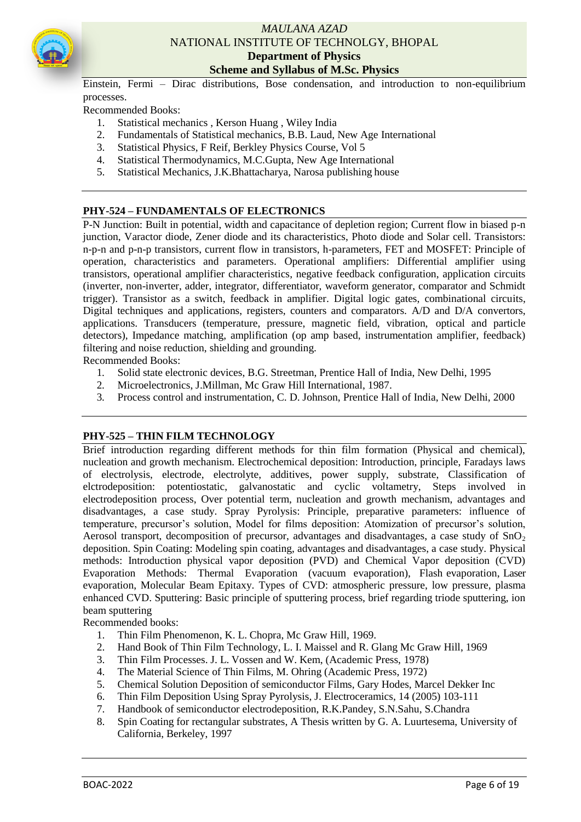

Einstein, Fermi – Dirac distributions, Bose condensation, and introduction to non-equilibrium processes.

Recommended Books:

- 1. Statistical mechanics , Kerson Huang , Wiley India
- 2. Fundamentals of Statistical mechanics, B.B. Laud, New Age International<br>3. Statistical Physics, F Reif. Berkley Physics Course, Vol 5
- 3. Statistical Physics, F Reif, Berkley Physics Course, Vol 5
- 4. Statistical Thermodynamics, M.C.Gupta, New Age International
- 5. Statistical Mechanics, J.K.Bhattacharya, Narosa publishing house

#### **PHY-524 – FUNDAMENTALS OF ELECTRONICS**

P-N Junction: Built in potential, width and capacitance of depletion region; Current flow in biased p-n junction, Varactor diode, Zener diode and its characteristics, Photo diode and Solar cell. Transistors: n-p-n and p-n-p transistors, current flow in transistors, h-parameters, FET and MOSFET: Principle of operation, characteristics and parameters. Operational amplifiers: Differential amplifier using transistors, operational amplifier characteristics, negative feedback configuration, application circuits (inverter, non-inverter, adder, integrator, differentiator, waveform generator, comparator and Schmidt trigger). Transistor as a switch, feedback in amplifier. Digital logic gates, combinational circuits, Digital techniques and applications, registers, counters and comparators. A/D and D/A convertors, applications. Transducers (temperature, pressure, magnetic field, vibration, optical and particle detectors), Impedance matching, amplification (op amp based, instrumentation amplifier, feedback) filtering and noise reduction, shielding and grounding.

Recommended Books:

- 1. Solid state electronic devices, B.G. Streetman, Prentice Hall of India, New Delhi, 1995
- 2. Microelectronics, J.Millman, Mc Graw Hill International, 1987.
- 3. Process control and instrumentation, C. D. Johnson, Prentice Hall of India, New Delhi, 2000

#### **PHY-525 – THIN FILM TECHNOLOGY**

Brief introduction regarding different methods for thin film formation (Physical and chemical), nucleation and growth mechanism. Electrochemical deposition: Introduction, principle, Faradays laws of electrolysis, electrode, electrolyte, additives, power supply, substrate, Classification of elctrodeposition: potentiostatic, galvanostatic and cyclic voltametry, Steps involved in electrodeposition process, Over potential term, nucleation and growth mechanism, advantages and disadvantages, a case study. Spray Pyrolysis: Principle, preparative parameters: influence of temperature, precursor's solution, Model for films deposition: Atomization of precursor's solution, Aerosol transport, decomposition of precursor, advantages and disadvantages, a case study of  $SnO<sub>2</sub>$ deposition. Spin Coating: Modeling spin coating, advantages and disadvantages, a case study. Physical methods: Introduction physical vapor deposition (PVD) and Chemical Vapor deposition (CVD) Evaporation Methods: Thermal Evaporation (vacuum evaporation), Flash evaporation, Laser evaporation, Molecular Beam Epitaxy. Types of CVD: atmospheric pressure, low pressure, plasma enhanced CVD. Sputtering: Basic principle of sputtering process, brief regarding triode sputtering, ion beam sputtering

Recommended books:

- 1. Thin Film Phenomenon, K. L. Chopra, Mc Graw Hill, 1969.
- 2. Hand Book of Thin Film Technology, L. I. Maissel and R. Glang Mc Graw Hill, 1969
- 3. Thin Film Processes. J. L. Vossen and W. Kem, (Academic Press, 1978)
- 4. The Material Science of Thin Films, M. Ohring (Academic Press, 1972)
- 5. Chemical Solution Deposition of semiconductor Films, Gary Hodes, Marcel Dekker Inc
- 6. Thin Film Deposition Using Spray Pyrolysis, J. Electroceramics, 14 (2005) 103-111
- 7. Handbook of semiconductor electrodeposition, R.K.Pandey, S.N.Sahu, S.Chandra
- 8. Spin Coating for rectangular substrates, A Thesis written by G. A. Luurtesema, University of California, Berkeley, 1997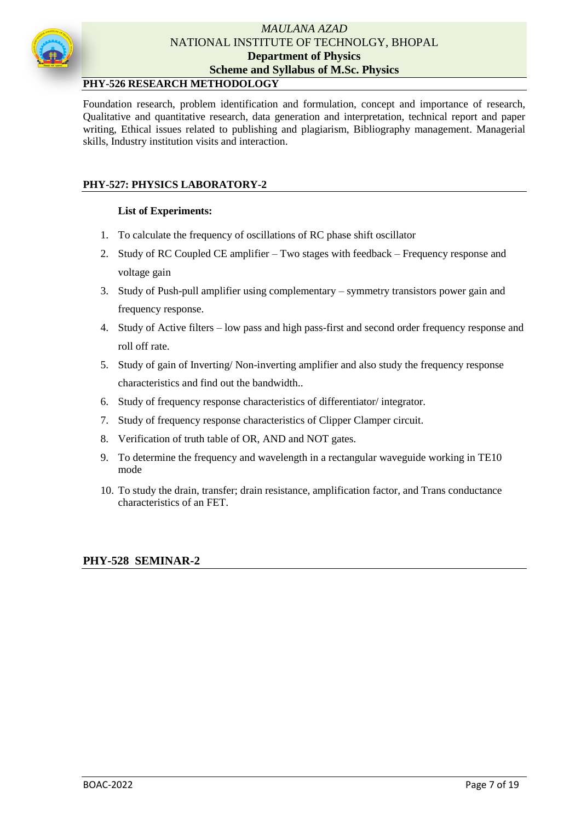

# **PHY-526 RESEARCH METHODOLOGY**

Foundation research, problem identification and formulation, concept and importance of research, Qualitative and quantitative research, data generation and interpretation, technical report and paper writing, Ethical issues related to publishing and plagiarism, Bibliography management. Managerial skills, Industry institution visits and interaction.

# **PHY-527: PHYSICS LABORATORY-2**

## **List of Experiments:**

- 1. To calculate the frequency of oscillations of RC phase shift oscillator
- 2. Study of RC Coupled CE amplifier Two stages with feedback Frequency response and voltage gain
- 3. Study of Push-pull amplifier using complementary symmetry transistors power gain and frequency response.
- 4. Study of Active filters low pass and high pass-first and second order frequency response and roll off rate.
- 5. Study of gain of Inverting/ Non-inverting amplifier and also study the frequency response characteristics and find out the bandwidth..
- 6. Study of frequency response characteristics of differentiator/ integrator.
- 7. Study of frequency response characteristics of Clipper Clamper circuit.
- 8. Verification of truth table of OR, AND and NOT gates.
- 9. To determine the frequency and wavelength in a rectangular waveguide working in TE10 mode
- 10. To study the drain, transfer; drain resistance, amplification factor, and Trans conductance characteristics of an FET.

#### **PHY-528 SEMINAR-2**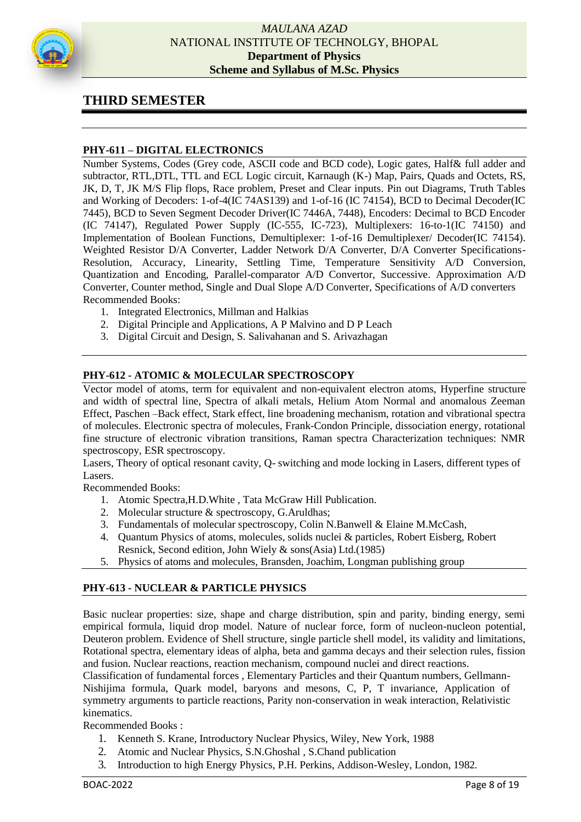

# **THIRD SEMESTER**

# **PHY-611 – DIGITAL ELECTRONICS**

Number Systems, Codes (Grey code, ASCII code and BCD code), Logic gates, Half& full adder and subtractor, RTL,DTL, TTL and ECL Logic circuit, Karnaugh (K-) Map, Pairs, Quads and Octets, RS, JK, D, T, JK M/S Flip flops, Race problem, Preset and Clear inputs. Pin out Diagrams, Truth Tables and Working of Decoders: 1-of-4(IC 74AS139) and 1-of-16 (IC 74154), BCD to Decimal Decoder(IC 7445), BCD to Seven Segment Decoder Driver(IC 7446A, 7448), Encoders: Decimal to BCD Encoder (IC 74147), Regulated Power Supply (IC-555, IC-723), Multiplexers: 16-to-1(IC 74150) and Implementation of Boolean Functions, Demultiplexer: 1-of-16 Demultiplexer/ Decoder(IC 74154). Weighted Resistor D/A Converter, Ladder Network D/A Converter, D/A Converter Specifications-Resolution, Accuracy, Linearity, Settling Time, Temperature Sensitivity A/D Conversion, Quantization and Encoding, Parallel-comparator A/D Convertor, Successive. Approximation A/D Converter, Counter method, Single and Dual Slope A/D Converter, Specifications of A/D converters Recommended Books:

- 1. Integrated Electronics, Millman and Halkias
- 2. Digital Principle and Applications, A P Malvino and D P Leach
- 3. Digital Circuit and Design, S. Salivahanan and S. Arivazhagan

#### **PHY-612 - ATOMIC & MOLECULAR SPECTROSCOPY**

Vector model of atoms, term for equivalent and non-equivalent electron atoms, Hyperfine structure and width of spectral line, Spectra of alkali metals, Helium Atom Normal and anomalous Zeeman Effect, Paschen –Back effect, Stark effect, line broadening mechanism, rotation and vibrational spectra of molecules. Electronic spectra of molecules, Frank-Condon Principle, dissociation energy, rotational fine structure of electronic vibration transitions, Raman spectra Characterization techniques: NMR spectroscopy, ESR spectroscopy.

Lasers, Theory of optical resonant cavity, Q- switching and mode locking in Lasers, different types of Lasers.

Recommended Books:

- 1. Atomic Spectra,H.D.White , Tata McGraw Hill Publication.
- 2. Molecular structure & spectroscopy, G.Aruldhas;
- 3. Fundamentals of molecular spectroscopy, Colin N.Banwell & Elaine M.McCash,
- 4. Quantum Physics of atoms, molecules, solids nuclei & particles, Robert Eisberg, Robert Resnick, Second edition, John Wiely & sons(Asia) Ltd.(1985)
- 5. Physics of atoms and molecules, Bransden, Joachim, Longman publishing group

#### **PHY-613 - NUCLEAR & PARTICLE PHYSICS**

Basic nuclear properties: size, shape and charge distribution, spin and parity, binding energy, semi empirical formula, liquid drop model. Nature of nuclear force, form of nucleon-nucleon potential, Deuteron problem. Evidence of Shell structure, single particle shell model, its validity and limitations, Rotational spectra, elementary ideas of alpha, beta and gamma decays and their selection rules, fission and fusion. Nuclear reactions, reaction mechanism, compound nuclei and direct reactions.

Classification of fundamental forces , Elementary Particles and their Quantum numbers, Gellmann-Nishijima formula, Quark model, baryons and mesons, C, P, T invariance, Application of symmetry arguments to particle reactions, Parity non-conservation in weak interaction, Relativistic kinematics.

Recommended Books :

- 1. Kenneth S. Krane, Introductory Nuclear Physics, Wiley, New York, 1988
- 2. Atomic and Nuclear Physics, S.N.Ghoshal , S.Chand publication
- 3. Introduction to high Energy Physics, P.H. Perkins, Addison-Wesley, London, 1982.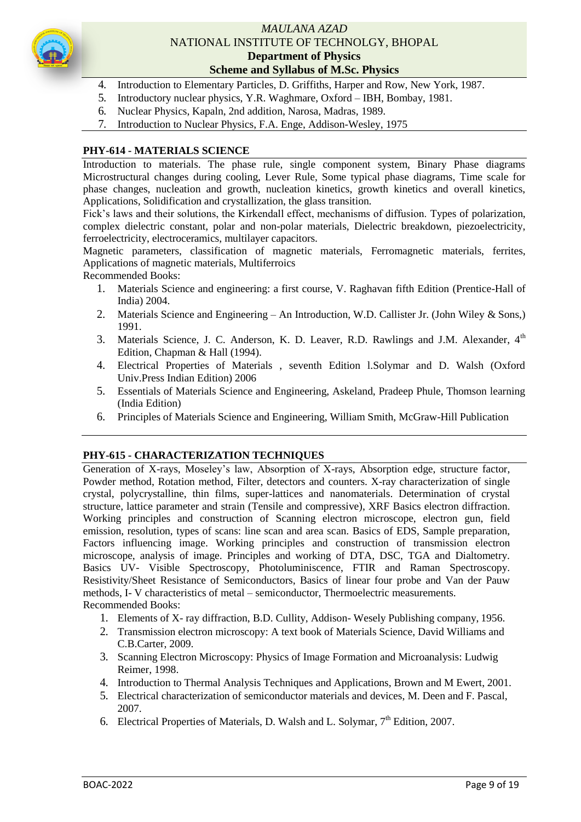

- 4. Introduction to Elementary Particles, D. Griffiths, Harper and Row, New York, 1987.
- 5. Introductory nuclear physics, Y.R. Waghmare, Oxford IBH, Bombay, 1981.
- 6. Nuclear Physics, Kapaln, 2nd addition, Narosa, Madras, 1989.
- 7. Introduction to Nuclear Physics, F.A. Enge, Addison-Wesley, 1975

#### **PHY-614 - MATERIALS SCIENCE**

Introduction to materials. The phase rule, single component system, Binary Phase diagrams Microstructural changes during cooling, Lever Rule, Some typical phase diagrams, Time scale for phase changes, nucleation and growth, nucleation kinetics, growth kinetics and overall kinetics, Applications, Solidification and crystallization, the glass transition.

Fick's laws and their solutions, the Kirkendall effect, mechanisms of diffusion. Types of polarization, complex dielectric constant, polar and non-polar materials, Dielectric breakdown, piezoelectricity, ferroelectricity, electroceramics, multilayer capacitors.

Magnetic parameters, classification of magnetic materials, Ferromagnetic materials, ferrites, Applications of magnetic materials, Multiferroics

Recommended Books:

- 1. Materials Science and engineering: a first course, V. Raghavan fifth Edition (Prentice-Hall of India) 2004.
- 2. Materials Science and Engineering An Introduction, W.D. Callister Jr. (John Wiley & Sons,) 1991.
- 3. Materials Science, J. C. Anderson, K. D. Leaver, R.D. Rawlings and J.M. Alexander,  $4<sup>th</sup>$ Edition, Chapman & Hall (1994).
- 4. Electrical Properties of Materials , seventh Edition l.Solymar and D. Walsh (Oxford Univ.Press Indian Edition) 2006
- 5. Essentials of Materials Science and Engineering, Askeland, Pradeep Phule, Thomson learning (India Edition)
- 6. Principles of Materials Science and Engineering, William Smith, McGraw-Hill Publication

#### **PHY-615 - CHARACTERIZATION TECHNIQUES**

Generation of X-rays, Moseley's law, Absorption of X-rays, Absorption edge, structure factor, Powder method, Rotation method, Filter, detectors and counters. X-ray characterization of single crystal, polycrystalline, thin films, super-lattices and nanomaterials. Determination of crystal structure, lattice parameter and strain (Tensile and compressive), XRF Basics electron diffraction. Working principles and construction of Scanning electron microscope, electron gun, field emission, resolution, types of scans: line scan and area scan. Basics of EDS, Sample preparation, Factors influencing image. Working principles and construction of transmission electron microscope, analysis of image. Principles and working of DTA, DSC, TGA and Dialtometry. Basics UV- Visible Spectroscopy, Photoluminiscence, FTIR and Raman Spectroscopy. Resistivity/Sheet Resistance of Semiconductors, Basics of linear four probe and Van der Pauw methods, I- V characteristics of metal – semiconductor, Thermoelectric measurements. Recommended Books:

- 1. Elements of X- ray diffraction, B.D. Cullity, Addison- Wesely Publishing company, 1956.
- 2. Transmission electron microscopy: A text book of Materials Science, David Williams and C.B.Carter, 2009.
- 3. Scanning Electron Microscopy: Physics of Image Formation and Microanalysis: Ludwig Reimer, 1998.
- 4. Introduction to Thermal Analysis Techniques and Applications, Brown and M Ewert, 2001.
- 5. Electrical characterization of semiconductor materials and devices, M. Deen and F. Pascal, 2007.
- 6. Electrical Properties of Materials, D. Walsh and L. Solymar,  $7<sup>th</sup>$  Edition, 2007.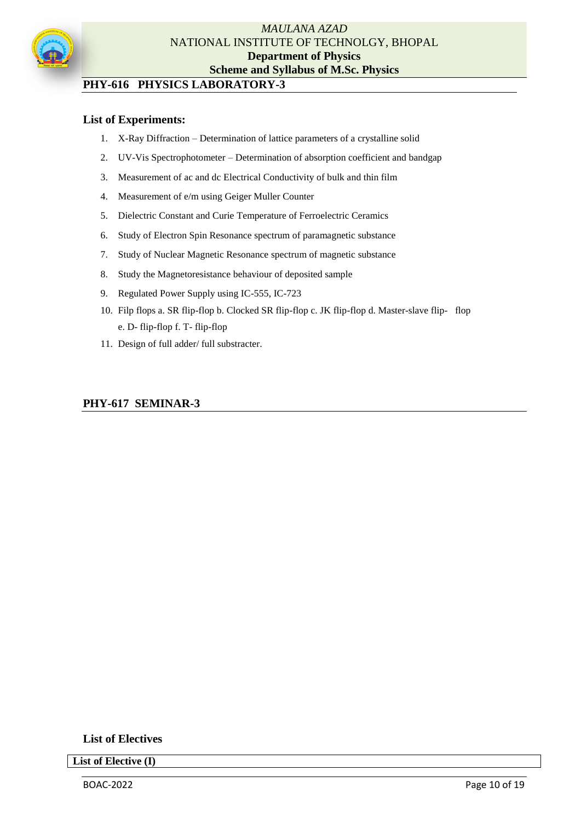

# **PHY-616 PHYSICS LABORATORY-3**

# **List of Experiments:**

- 1. X-Ray Diffraction Determination of lattice parameters of a crystalline solid
- 2. UV-Vis Spectrophotometer Determination of absorption coefficient and bandgap
- 3. Measurement of ac and dc Electrical Conductivity of bulk and thin film
- 4. Measurement of e/m using Geiger Muller Counter
- 5. Dielectric Constant and Curie Temperature of Ferroelectric Ceramics
- 6. Study of Electron Spin Resonance spectrum of paramagnetic substance
- 7. Study of Nuclear Magnetic Resonance spectrum of magnetic substance
- 8. Study the Magnetoresistance behaviour of deposited sample
- 9. Regulated Power Supply using IC-555, IC-723
- 10. Filp flops a. SR flip-flop b. Clocked SR flip-flop c. JK flip-flop d. Master-slave flip- flop e. D- flip-flop f. T- flip-flop
- 11. Design of full adder/ full substracter.

# **PHY-617 SEMINAR-3**

**List of Electives**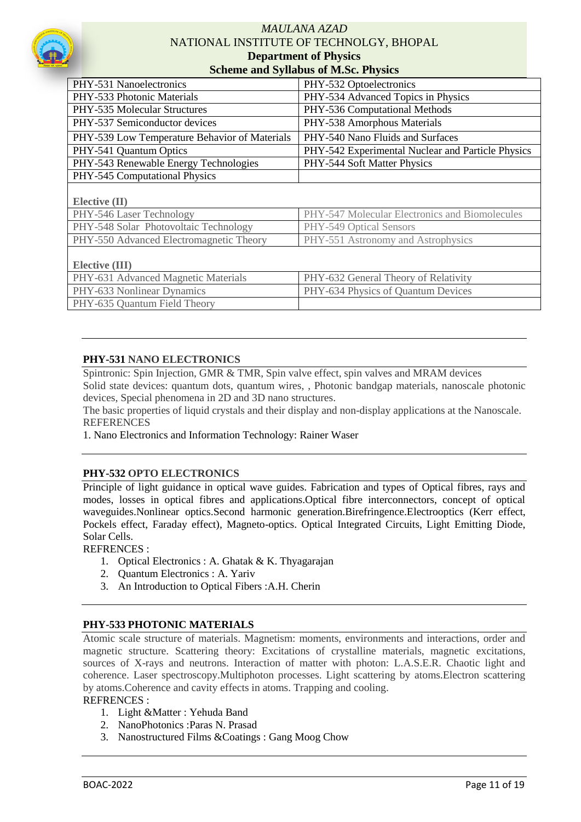

| Scheme and Synabus of M.S.C. I hysics         |                                                   |  |  |  |
|-----------------------------------------------|---------------------------------------------------|--|--|--|
| PHY-531 Nanoelectronics                       | PHY-532 Optoelectronics                           |  |  |  |
| PHY-533 Photonic Materials                    | PHY-534 Advanced Topics in Physics                |  |  |  |
| PHY-535 Molecular Structures                  | PHY-536 Computational Methods                     |  |  |  |
| PHY-537 Semiconductor devices                 | PHY-538 Amorphous Materials                       |  |  |  |
| PHY-539 Low Temperature Behavior of Materials | PHY-540 Nano Fluids and Surfaces                  |  |  |  |
| PHY-541 Quantum Optics                        | PHY-542 Experimental Nuclear and Particle Physics |  |  |  |
| PHY-543 Renewable Energy Technologies         | PHY-544 Soft Matter Physics                       |  |  |  |
| PHY-545 Computational Physics                 |                                                   |  |  |  |
|                                               |                                                   |  |  |  |
| Elective $(II)$                               |                                                   |  |  |  |
| PHY-546 Laser Technology                      | PHY-547 Molecular Electronics and Biomolecules    |  |  |  |
| PHY-548 Solar Photovoltaic Technology         | PHY-549 Optical Sensors                           |  |  |  |
| PHY-550 Advanced Electromagnetic Theory       | PHY-551 Astronomy and Astrophysics                |  |  |  |
|                                               |                                                   |  |  |  |
| <b>Elective (III)</b>                         |                                                   |  |  |  |
| PHY-631 Advanced Magnetic Materials           | PHY-632 General Theory of Relativity              |  |  |  |
| PHY-633 Nonlinear Dynamics                    | PHY-634 Physics of Quantum Devices                |  |  |  |
| PHY-635 Quantum Field Theory                  |                                                   |  |  |  |

#### **PHY-531 NANO ELECTRONICS**

Spintronic: Spin Injection, GMR & TMR, Spin valve effect, spin valves and MRAM devices

Solid state devices: quantum dots, quantum wires, , Photonic bandgap materials, nanoscale photonic devices, Special phenomena in 2D and 3D nano structures.

The basic properties of liquid crystals and their display and non-display applications at the Nanoscale. **REFERENCES** 

1. Nano Electronics and Information Technology: Rainer Waser

#### **PHY-532 OPTO ELECTRONICS**

Principle of light guidance in optical wave guides. Fabrication and types of Optical fibres, rays and modes, losses in optical fibres and applications.Optical fibre interconnectors, concept of optical waveguides.Nonlinear optics.Second harmonic generation.Birefringence.Electrooptics (Kerr effect, Pockels effect, Faraday effect), Magneto-optics. Optical Integrated Circuits, Light Emitting Diode, Solar Cells.

REFRENCES :

- 1. Optical Electronics : A. Ghatak & K. Thyagarajan
- 2. Quantum Electronics : A. Yariv
- 3. An Introduction to Optical Fibers :A.H. Cherin

#### **PHY-533 PHOTONIC MATERIALS**

Atomic scale structure of materials. Magnetism: moments, environments and interactions, order and magnetic structure. Scattering theory: Excitations of crystalline materials, magnetic excitations, sources of X-rays and neutrons. Interaction of matter with photon: L.A.S.E.R. Chaotic light and coherence. Laser spectroscopy.Multiphoton processes. Light scattering by atoms.Electron scattering by atoms.Coherence and cavity effects in atoms. Trapping and cooling. REFRENCES :

- 1. Light &Matter : Yehuda Band
- 2. NanoPhotonics :Paras N. Prasad
- 3. Nanostructured Films &Coatings : Gang Moog Chow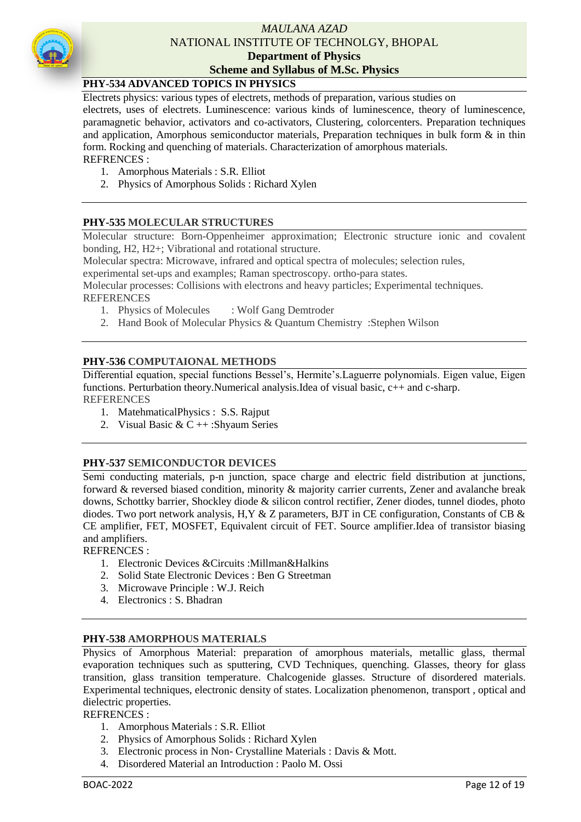

# **PHY-534 ADVANCED TOPICS IN PHYSICS**

Electrets physics: various types of electrets, methods of preparation, various studies on

electrets, uses of electrets. Luminescence: various kinds of luminescence, theory of luminescence, paramagnetic behavior, activators and co-activators, Clustering, colorcenters. Preparation techniques and application, Amorphous semiconductor materials, Preparation techniques in bulk form  $\&$  in thin form. Rocking and quenching of materials. Characterization of amorphous materials.

#### REFRENCES :

- 1. Amorphous Materials : S.R. Elliot
- 2. Physics of Amorphous Solids : Richard Xylen

# **PHY-535 MOLECULAR STRUCTURES**

Molecular structure: Born-Oppenheimer approximation; Electronic structure ionic and covalent bonding, H2, H2+; Vibrational and rotational structure.

Molecular spectra: Microwave, infrared and optical spectra of molecules; selection rules,

experimental set-ups and examples; Raman spectroscopy. ortho-para states.

Molecular processes: Collisions with electrons and heavy particles; Experimental techniques. **REFERENCES** 

- 1. Physics of Molecules : Wolf Gang Demtroder
- 2. Hand Book of Molecular Physics & Quantum Chemistry :Stephen Wilson

#### **PHY-536 COMPUTAIONAL METHODS**

Differential equation, special functions Bessel's, Hermite's.Laguerre polynomials. Eigen value, Eigen functions. Perturbation theory.Numerical analysis.Idea of visual basic, c++ and c-sharp. REFERENCES

- 1. MatehmaticalPhysics : S.S. Rajput
- 2. Visual Basic &  $C + +$ : Shyaum Series

#### **PHY-537 SEMICONDUCTOR DEVICES**

Semi conducting materials, p-n junction, space charge and electric field distribution at junctions, forward & reversed biased condition, minority & majority carrier currents, Zener and avalanche break downs, Schottky barrier, Shockley diode & silicon control rectifier, Zener diodes, tunnel diodes, photo diodes. Two port network analysis, H,Y & Z parameters, BJT in CE configuration, Constants of CB & CE amplifier, FET, MOSFET, Equivalent circuit of FET. Source amplifier.Idea of transistor biasing and amplifiers.

REFRENCES :

- 1. Electronic Devices &Circuits :Millman&Halkins
- 2. Solid State Electronic Devices : Ben G Streetman
- 3. Microwave Principle : W.J. Reich
- 4. Electronics : S. Bhadran

#### **PHY-538 AMORPHOUS MATERIALS**

Physics of Amorphous Material: preparation of amorphous materials, metallic glass, thermal evaporation techniques such as sputtering, CVD Techniques, quenching. Glasses, theory for glass transition, glass transition temperature. Chalcogenide glasses. Structure of disordered materials. Experimental techniques, electronic density of states. Localization phenomenon, transport , optical and dielectric properties.

#### REFRENCES :

- 1. Amorphous Materials : S.R. Elliot
- 2. Physics of Amorphous Solids : Richard Xylen
- 3. Electronic process in Non- Crystalline Materials : Davis & Mott.
- 4. Disordered Material an Introduction : Paolo M. Ossi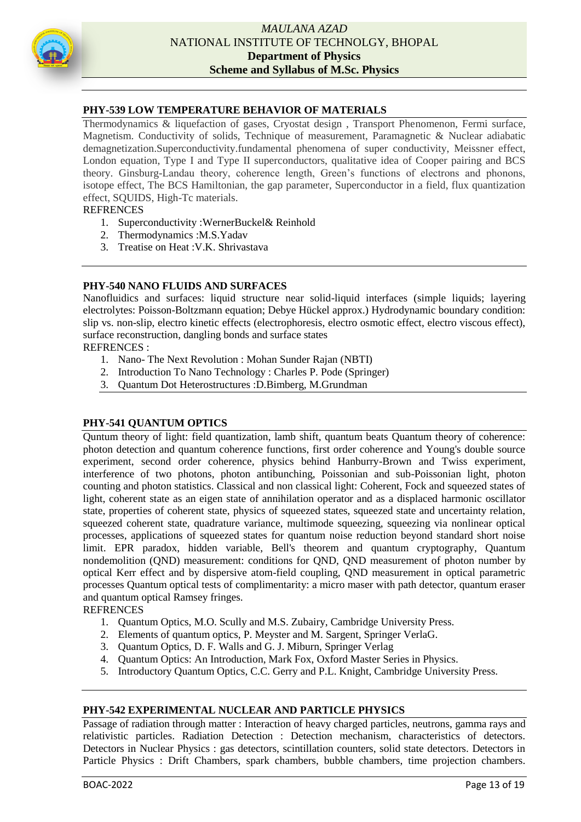

#### **PHY-539 LOW TEMPERATURE BEHAVIOR OF MATERIALS**

Thermodynamics & liquefaction of gases, Cryostat design , Transport Phenomenon, Fermi surface, Magnetism. Conductivity of solids, Technique of measurement, Paramagnetic & Nuclear adiabatic demagnetization.Superconductivity.fundamental phenomena of super conductivity, Meissner effect, London equation, Type I and Type II superconductors, qualitative idea of Cooper pairing and BCS theory. Ginsburg-Landau theory, coherence length, Green's functions of electrons and phonons, isotope effect, The BCS Hamiltonian, the gap parameter, Superconductor in a field, flux quantization effect, SQUIDS, High-Tc materials.

#### **REFRENCES**

- 1. Superconductivity :WernerBuckel& Reinhold
- 2. Thermodynamics :M.S.Yadav
- 3. Treatise on Heat :V.K. Shrivastava

#### **PHY-540 NANO FLUIDS AND SURFACES**

Nanofluidics and surfaces: liquid structure near solid-liquid interfaces (simple liquids; layering electrolytes: Poisson-Boltzmann equation; Debye Hückel approx.) Hydrodynamic boundary condition: slip vs. non-slip, electro kinetic effects (electrophoresis, electro osmotic effect, electro viscous effect), surface reconstruction, dangling bonds and surface states

REFRENCES :

- 1. Nano- The Next Revolution : Mohan Sunder Rajan (NBTI)
- 2. Introduction To Nano Technology : Charles P. Pode (Springer)
- 3. Quantum Dot Heterostructures :D.Bimberg, M.Grundman

#### **PHY-541 QUANTUM OPTICS**

Quntum theory of light: field quantization, lamb shift, quantum beats Quantum theory of coherence: photon detection and quantum coherence functions, first order coherence and Young's double source experiment, second order coherence, physics behind Hanburry-Brown and Twiss experiment, interference of two photons, photon antibunching, Poissonian and sub-Poissonian light, photon counting and photon statistics. Classical and non classical light: Coherent, Fock and squeezed states of light, coherent state as an eigen state of annihilation operator and as a displaced harmonic oscillator state, properties of coherent state, physics of squeezed states, squeezed state and uncertainty relation, squeezed coherent state, quadrature variance, multimode squeezing, squeezing via nonlinear optical processes, applications of squeezed states for quantum noise reduction beyond standard short noise limit. EPR paradox, hidden variable, Bell's theorem and quantum cryptography, Quantum nondemolition (QND) measurement: conditions for QND, QND measurement of photon number by optical Kerr effect and by dispersive atom-field coupling, QND measurement in optical parametric processes Quantum optical tests of complimentarity: a micro maser with path detector, quantum eraser and quantum optical Ramsey fringes.

#### **REFRENCES**

- 1. Quantum Optics, M.O. Scully and M.S. Zubairy, Cambridge University Press.
- 2. Elements of quantum optics, P. Meyster and M. Sargent, Springer VerlaG.
- 3. Quantum Optics, D. F. Walls and G. J. Miburn, Springer Verlag
- 4. Quantum Optics: An Introduction, Mark Fox, Oxford Master Series in Physics.
- 5. Introductory Quantum Optics, C.C. Gerry and P.L. Knight, Cambridge University Press.

#### **PHY-542 EXPERIMENTAL NUCLEAR AND PARTICLE PHYSICS**

Passage of radiation through matter : Interaction of heavy charged particles, neutrons, gamma rays and relativistic particles. Radiation Detection : Detection mechanism, characteristics of detectors. Detectors in Nuclear Physics : gas detectors, scintillation counters, solid state detectors. Detectors in Particle Physics : Drift Chambers, spark chambers, bubble chambers, time projection chambers.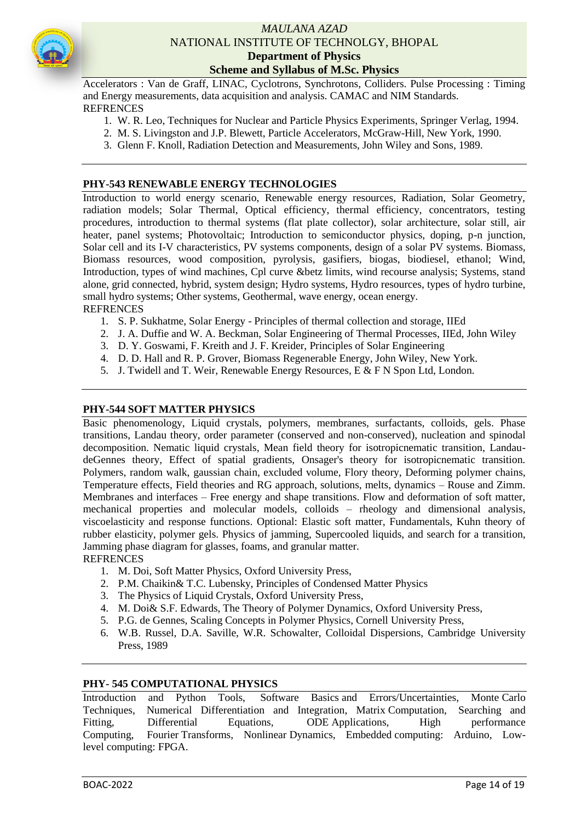

Accelerators : Van de Graff, LINAC, Cyclotrons, Synchrotons, Colliders. Pulse Processing : Timing and Energy measurements, data acquisition and analysis. CAMAC and NIM Standards. REFRENCES

- 1. W. R. Leo, Techniques for Nuclear and Particle Physics Experiments, Springer Verlag, 1994.
- 2. M. S. Livingston and J.P. Blewett, Particle Accelerators, McGraw-Hill, New York, 1990.
- 3. Glenn F. Knoll, Radiation Detection and Measurements, John Wiley and Sons, 1989.

#### **PHY-543 RENEWABLE ENERGY TECHNOLOGIES**

Introduction to world energy scenario, Renewable energy resources, Radiation, Solar Geometry, radiation models; Solar Thermal, Optical efficiency, thermal efficiency, concentrators, testing procedures, introduction to thermal systems (flat plate collector), solar architecture, solar still, air heater, panel systems; Photovoltaic; Introduction to semiconductor physics, doping, p-n junction, Solar cell and its I-V characteristics, PV systems components, design of a solar PV systems. Biomass, Biomass resources, wood composition, pyrolysis, gasifiers, biogas, biodiesel, ethanol; Wind, Introduction, types of wind machines, Cpl curve &betz limits, wind recourse analysis; Systems, stand alone, grid connected, hybrid, system design; Hydro systems, Hydro resources, types of hydro turbine, small hydro systems; Other systems, Geothermal, wave energy, ocean energy. REFRENCES

- 1. S. P. Sukhatme, Solar Energy Principles of thermal collection and storage, IIEd
- 2. J. A. Duffie and W. A. Beckman, Solar Engineering of Thermal Processes, IIEd, John Wiley
- 3. D. Y. Goswami, F. Kreith and J. F. Kreider, Principles of Solar Engineering
- 4. D. D. Hall and R. P. Grover, Biomass Regenerable Energy, John Wiley, New York.
- 5. J. Twidell and T. Weir, Renewable Energy Resources, E & F N Spon Ltd, London.

#### **PHY-544 SOFT MATTER PHYSICS**

Basic phenomenology, Liquid crystals, polymers, membranes, surfactants, colloids, gels. Phase transitions, Landau theory, order parameter (conserved and non-conserved), nucleation and spinodal decomposition. Nematic liquid crystals, Mean field theory for isotropicnematic transition, LandaudeGennes theory, Effect of spatial gradients, Onsager's theory for isotropicnematic transition. Polymers, random walk, gaussian chain, excluded volume, Flory theory, Deforming polymer chains, Temperature effects, Field theories and RG approach, solutions, melts, dynamics – Rouse and Zimm. Membranes and interfaces – Free energy and shape transitions. Flow and deformation of soft matter, mechanical properties and molecular models, colloids – rheology and dimensional analysis, viscoelasticity and response functions. Optional: Elastic soft matter, Fundamentals, Kuhn theory of rubber elasticity, polymer gels. Physics of jamming, Supercooled liquids, and search for a transition, Jamming phase diagram for glasses, foams, and granular matter. REFRENCES

- 1. M. Doi, Soft Matter Physics, Oxford University Press,
- 2. P.M. Chaikin& T.C. Lubensky, Principles of Condensed Matter Physics
- 3. The Physics of Liquid Crystals, Oxford University Press,
- 4. M. Doi& S.F. Edwards, The Theory of Polymer Dynamics, Oxford University Press,
- 5. P.G. de Gennes, Scaling Concepts in Polymer Physics, Cornell University Press,
- 6. W.B. Russel, D.A. Saville, W.R. Schowalter, Colloidal Dispersions, Cambridge University Press, 1989

#### **PHY- 545 COMPUTATIONAL PHYSICS**

Introduction and Python Tools, Software Basics and Errors/Uncertainties, Monte Carlo Techniques, Numerical Differentiation and Integration, Matrix Computation, Searching and Fitting, Differential Equations, ODE Applications, High performance Computing, Fourier Transforms, Nonlinear Dynamics, Embedded computing: Arduino, Lowlevel computing: FPGA.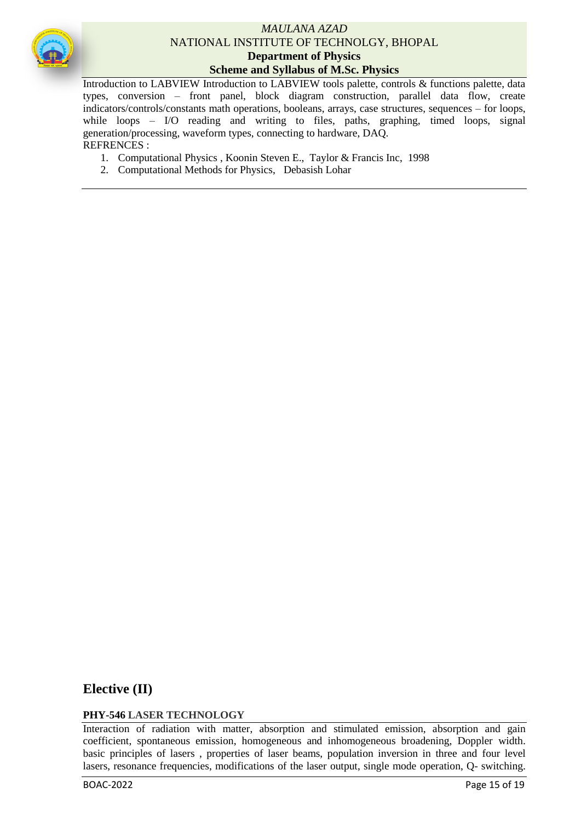

Introduction to LABVIEW Introduction to LABVIEW tools palette, controls & functions palette, data types, conversion – front panel, block diagram construction, parallel data flow, create indicators/controls/constants math operations, booleans, arrays, case structures, sequences – for loops, while loops – I/O reading and writing to files, paths, graphing, timed loops, signal generation/processing, waveform types, connecting to hardware, DAQ. REFRENCES :

- 1. Computational Physics , Koonin Steven E., Taylor & Francis Inc, 1998
- 2. Computational Methods for Physics, [Debasish Lohar](https://www.amazon.in/s/ref=dp_byline_sr_book_1?ie=UTF8&field-author=Debasish+Lohar&search-alias=stripbooks)

# **Elective (II)**

# **PHY-546 LASER TECHNOLOGY**

Interaction of radiation with matter, absorption and stimulated emission, absorption and gain coefficient, spontaneous emission, homogeneous and inhomogeneous broadening, Doppler width. basic principles of lasers , properties of laser beams, population inversion in three and four level lasers, resonance frequencies, modifications of the laser output, single mode operation, Q- switching.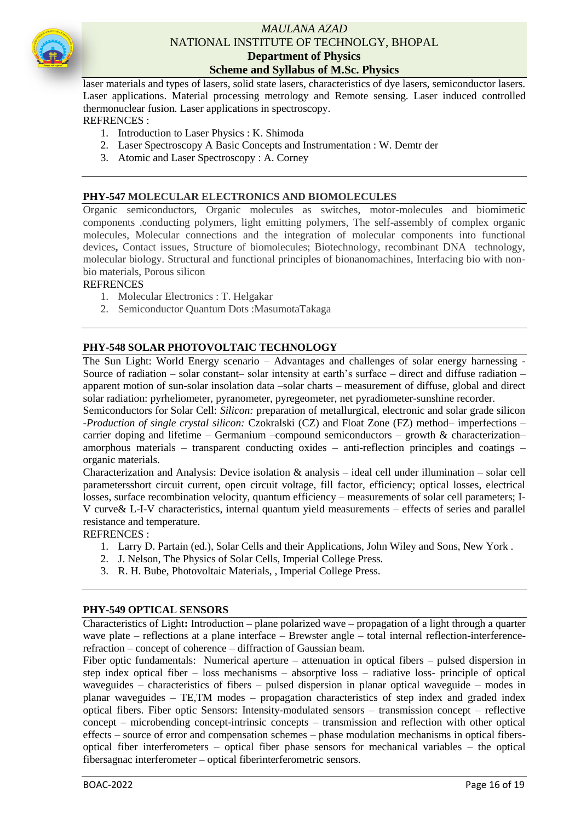

laser materials and types of lasers, solid state lasers, characteristics of dye lasers, semiconductor lasers. Laser applications. Material processing metrology and Remote sensing. Laser induced controlled thermonuclear fusion. Laser applications in spectroscopy.

# REFRENCES :

- 1. Introduction to Laser Physics : K. Shimoda
- 2. Laser Spectroscopy A Basic Concepts and Instrumentation : W. Demtr der
- 3. Atomic and Laser Spectroscopy : A. Corney

# **PHY-547 MOLECULAR ELECTRONICS AND BIOMOLECULES**

Organic semiconductors, Organic molecules as switches, motor-molecules and biomimetic components .conducting polymers, light emitting polymers, The self-assembly of complex organic molecules, Molecular connections and the integration of molecular components into functional devices**,** Contact issues, Structure of biomolecules; Biotechnology, recombinant DNA technology, molecular biology. Structural and functional principles of bionanomachines, Interfacing bio with nonbio materials, Porous silicon

#### **REFRENCES**

- 1. Molecular Electronics : T. Helgakar
- 2. Semiconductor Quantum Dots :MasumotaTakaga

#### **PHY-548 SOLAR PHOTOVOLTAIC TECHNOLOGY**

The Sun Light: World Energy scenario – Advantages and challenges of solar energy harnessing - Source of radiation – solar constant– solar intensity at earth's surface – direct and diffuse radiation – apparent motion of sun-solar insolation data –solar charts – measurement of diffuse, global and direct solar radiation: pyrheliometer, pyranometer, pyregeometer, net pyradiometer-sunshine recorder.

Semiconductors for Solar Cell: *Silicon:* preparation of metallurgical, electronic and solar grade silicon -*Production of single crystal silicon:* Czokralski (CZ) and Float Zone (FZ) method– imperfections – carrier doping and lifetime – Germanium –compound semiconductors – growth  $\&$  characterization– amorphous materials – transparent conducting oxides – anti-reflection principles and coatings – organic materials.

Characterization and Analysis: Device isolation  $\&$  analysis – ideal cell under illumination – solar cell parametersshort circuit current, open circuit voltage, fill factor, efficiency; optical losses, electrical losses, surface recombination velocity, quantum efficiency – measurements of solar cell parameters; I-V curve& L-I-V characteristics, internal quantum yield measurements – effects of series and parallel resistance and temperature.

#### REFRENCES :

- 1. Larry D. Partain (ed.), Solar Cells and their Applications, John Wiley and Sons, New York .
- 2. J. Nelson, The Physics of Solar Cells, Imperial College Press.
- 3. R. H. Bube, Photovoltaic Materials, , Imperial College Press.

#### **PHY-549 OPTICAL SENSORS**

Characteristics of Light**:** Introduction – plane polarized wave – propagation of a light through a quarter wave plate – reflections at a plane interface – Brewster angle – total internal reflection-interferencerefraction – concept of coherence – diffraction of Gaussian beam.

Fiber optic fundamentals: Numerical aperture – attenuation in optical fibers – pulsed dispersion in step index optical fiber – loss mechanisms – absorptive loss – radiative loss- principle of optical waveguides – characteristics of fibers – pulsed dispersion in planar optical waveguide – modes in planar waveguides – TE,TM modes – propagation characteristics of step index and graded index optical fibers. Fiber optic Sensors: Intensity-modulated sensors – transmission concept – reflective concept – microbending concept-intrinsic concepts – transmission and reflection with other optical effects – source of error and compensation schemes – phase modulation mechanisms in optical fibersoptical fiber interferometers – optical fiber phase sensors for mechanical variables – the optical fibersagnac interferometer – optical fiberinterferometric sensors.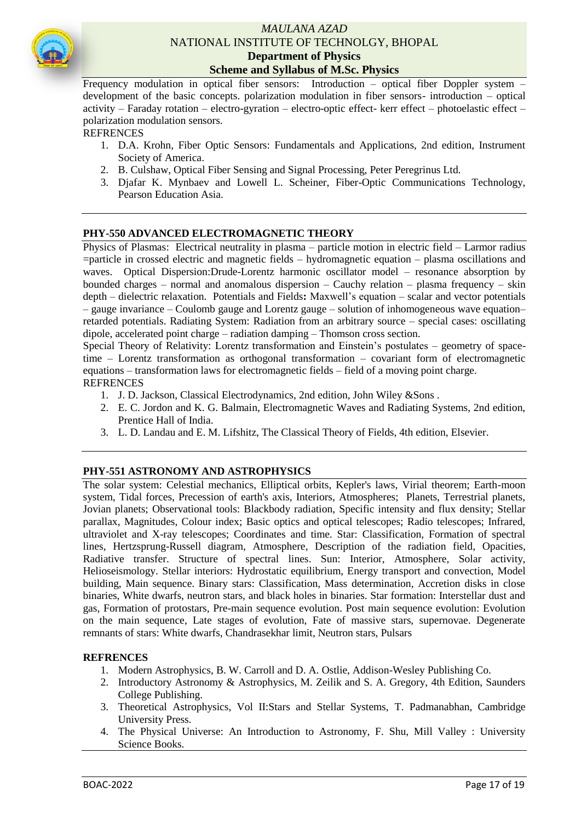

Frequency modulation in optical fiber sensors: Introduction – optical fiber Doppler system – development of the basic concepts. polarization modulation in fiber sensors- introduction – optical activity – Faraday rotation – electro-gyration – electro-optic effect- kerr effect – photoelastic effect – polarization modulation sensors.

#### **REFRENCES**

- 1. D.A. Krohn, Fiber Optic Sensors: Fundamentals and Applications, 2nd edition, Instrument Society of America.
- 2. B. Culshaw, Optical Fiber Sensing and Signal Processing, Peter Peregrinus Ltd.
- 3. Djafar K. Mynbaev and Lowell L. Scheiner, Fiber-Optic Communications Technology, Pearson Education Asia.

#### **PHY-550 ADVANCED ELECTROMAGNETIC THEORY**

Physics of Plasmas: Electrical neutrality in plasma – particle motion in electric field – Larmor radius =particle in crossed electric and magnetic fields – hydromagnetic equation – plasma oscillations and waves. Optical Dispersion:Drude-Lorentz harmonic oscillator model – resonance absorption by bounded charges – normal and anomalous dispersion – Cauchy relation – plasma frequency – skin depth – dielectric relaxation. Potentials and Fields**:** Maxwell's equation – scalar and vector potentials – gauge invariance – Coulomb gauge and Lorentz gauge – solution of inhomogeneous wave equation– retarded potentials. Radiating System: Radiation from an arbitrary source – special cases: oscillating dipole, accelerated point charge – radiation damping – Thomson cross section.

Special Theory of Relativity: Lorentz transformation and Einstein's postulates – geometry of spacetime – Lorentz transformation as orthogonal transformation – covariant form of electromagnetic equations – transformation laws for electromagnetic fields – field of a moving point charge. **REFRENCES** 

- 1. J. D. Jackson, Classical Electrodynamics, 2nd edition, John Wiley &Sons .
- 2. E. C. Jordon and K. G. Balmain, Electromagnetic Waves and Radiating Systems, 2nd edition, Prentice Hall of India.
- 3. L. D. Landau and E. M. Lifshitz, The Classical Theory of Fields, 4th edition, Elsevier.

#### **PHY-551 ASTRONOMY AND ASTROPHYSICS**

The solar system: Celestial mechanics, Elliptical orbits, Kepler's laws, Virial theorem; Earth-moon system, Tidal forces, Precession of earth's axis, Interiors, Atmospheres; Planets, Terrestrial planets, Jovian planets; Observational tools: Blackbody radiation, Specific intensity and flux density; Stellar parallax, Magnitudes, Colour index; Basic optics and optical telescopes; Radio telescopes; Infrared, ultraviolet and X-ray telescopes; Coordinates and time. Star: Classification, Formation of spectral lines, Hertzsprung-Russell diagram, Atmosphere, Description of the radiation field, Opacities, Radiative transfer. Structure of spectral lines. Sun: Interior, Atmosphere, Solar activity, Helioseismology. Stellar interiors: Hydrostatic equilibrium, Energy transport and convection, Model building, Main sequence. Binary stars: Classification, Mass determination, Accretion disks in close binaries, White dwarfs, neutron stars, and black holes in binaries. Star formation: Interstellar dust and gas, Formation of protostars, Pre-main sequence evolution. Post main sequence evolution: Evolution on the main sequence, Late stages of evolution, Fate of massive stars, supernovae. Degenerate remnants of stars: White dwarfs, Chandrasekhar limit, Neutron stars, Pulsars

#### **REFRENCES**

- 1. Modern Astrophysics, B. W. Carroll and D. A. Ostlie, Addison-Wesley Publishing Co.
- 2. Introductory Astronomy & Astrophysics, M. Zeilik and S. A. Gregory, 4th Edition, Saunders College Publishing.
- 3. Theoretical Astrophysics, Vol II:Stars and Stellar Systems, T. Padmanabhan, Cambridge University Press.
- 4. The Physical Universe: An Introduction to Astronomy, F. Shu, Mill Valley : University Science Books.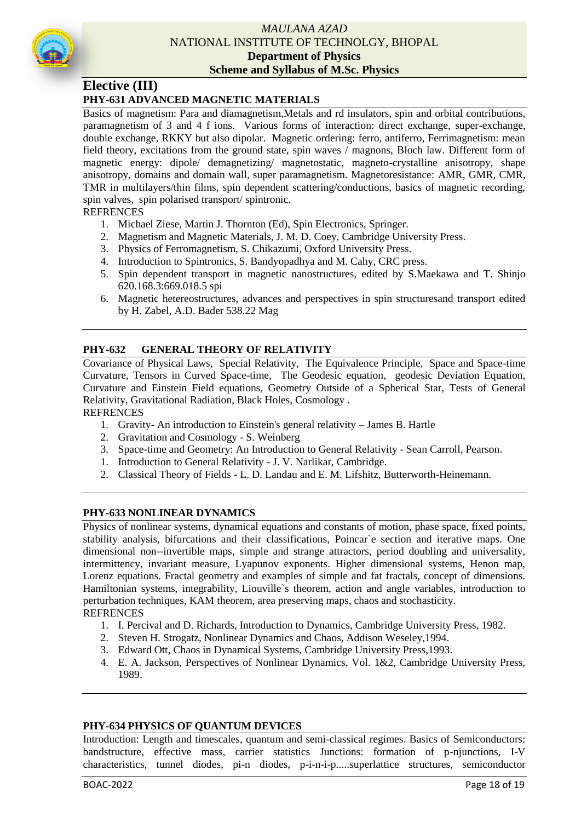

# **Elective (III)**

# **PHY-631 ADVANCED MAGNETIC MATERIALS**

Basics of magnetism: Para and diamagnetism,Metals and rd insulators, spin and orbital contributions, paramagnetism of 3 and 4 f ions. Various forms of interaction: direct exchange, super-exchange, double exchange, RKKY but also dipolar. Magnetic ordering: ferro, antiferro, Ferrimagnetism: mean field theory, excitations from the ground state, spin waves / magnons, Bloch law. Different form of magnetic energy: dipole/ demagnetizing/ magnetostatic, magneto-crystalline anisotropy, shape anisotropy, domains and domain wall, super paramagnetism. Magnetoresistance: AMR, GMR, CMR, TMR in multilayers/thin films, spin dependent scattering/conductions, basics of magnetic recording, spin valves, spin polarised transport/ spintronic.

#### **REFRENCES**

- 1. Michael Ziese, Martin J. Thornton (Ed), Spin Electronics, Springer.
- 2. Magnetism and Magnetic Materials, J. M. D. Coey, Cambridge University Press.
- 3. Physics of Ferromagnetism, S. Chikazumi, Oxford University Press.
- 4. Introduction to Spintronics, S. Bandyopadhya and M. Cahy, CRC press.
- 5. Spin dependent transport in magnetic nanostructures, edited by S.Maekawa and T. Shinjo 620.168.3:669.018.5 spi
- 6. Magnetic hetereostructures, advances and perspectives in spin structuresand transport edited by H. Zabel, A.D. Bader 538.22 Mag

#### **PHY-632 GENERAL THEORY OF RELATIVITY**

Covariance of Physical Laws, Special Relativity, The Equivalence Principle, Space and Space-time Curvature, Tensors in Curved Space-time, The Geodesic equation, geodesic Deviation Equation, Curvature and Einstein Field equations, Geometry Outside of a Spherical Star, Tests of General Relativity, Gravitational Radiation, Black Holes, Cosmology .

#### **REFRENCES**

- 1. Gravity- An introduction to Einstein's general relativity James B. Hartle
- 2. Gravitation and Cosmology S. Weinberg
- 3. Space-time and Geometry: An Introduction to General Relativity Sean Carroll, Pearson.
- 1. Introduction to General Relativity J. V. Narlikar, Cambridge.
- 2. Classical Theory of Fields L. D. Landau and E. M. Lifshitz, Butterworth-Heinemann.

#### **PHY-633 NONLINEAR DYNAMICS**

Physics of nonlinear systems, dynamical equations and constants of motion, phase space, fixed points, stability analysis, bifurcations and their classifications, Poincar`e section and iterative maps. One dimensional non--invertible maps, simple and strange attractors, period doubling and universality, intermittency, invariant measure, Lyapunov exponents. Higher dimensional systems, Henon map, Lorenz equations. Fractal geometry and examples of simple and fat fractals, concept of dimensions. Hamiltonian systems, integrability, Liouville`s theorem, action and angle variables, introduction to perturbation techniques, KAM theorem, area preserving maps, chaos and stochasticity.

#### **REFRENCES**

- 1. I. Percival and D. Richards, Introduction to Dynamics, Cambridge University Press, 1982.
- 2. Steven H. Strogatz, Nonlinear Dynamics and Chaos, Addison Weseley,1994.
- 3. Edward Ott, Chaos in Dynamical Systems, Cambridge University Press,1993.
- 4. E. A. Jackson, Perspectives of Nonlinear Dynamics, Vol. 1&2, Cambridge University Press, 1989.

#### **PHY-634 PHYSICS OF QUANTUM DEVICES**

Introduction: Length and timescales, quantum and semi-classical regimes. Basics of Semiconductors: bandstructure, effective mass, carrier statistics Junctions: formation of p-njunctions, I-V characteristics, tunnel diodes, pi-n diodes, p-i-n-i-p.....superlattice structures, semiconductor